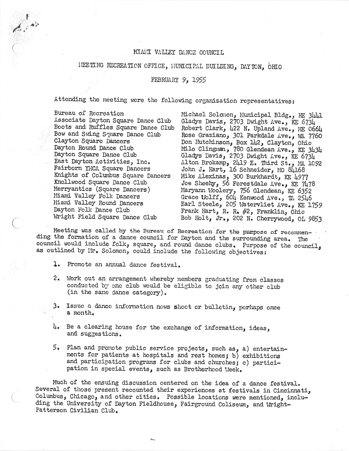## MIAMI VALLEY DANCE COUNCIL

## HEETING RECREATION OFFICE, HUNICIPAL BUILDING, DAYTON, OHIO

## FEBRUARY 9, 1955

Attending the meeting were the following organization representatives:

Bureau of Recreation Associate Dayton Square Dance Club Boots and Ruffles Square Dance Club Bow and Swing Square Dance Club Clayton Square Dancers Dayton Round Dance Club Dayton Square Dance Club East Dayton Activities, Inc. Fairborn YMCA Square Dancers Knights of Columbus Square Dancers Knollwood Square Dance Club Merryantics (Square Dancers) Miami Valley Folk Dancers Miami Valley Round Dancers Dayton Folk Dance Club Wright Field Square Dance Club

Michael Solomon, Municipal Bldg., HE 3441 Gladys Davis, 2703 Dwight Ave., KE 6734 Robert Clark, 422 N. Upland Ave., ME 0664 Rose Graziano, 301 Parkdale Ave., WA 7760 Don Hutchinson, Box 142, Clayton, Ohio Milo Clingman, 780 Glendean Ave., KE 3434 Gladys Davis, 2703 Dwight Ave., KE 6734<br>Alton Brokamp, 2419 E. Third St., MA 1092 John J. Hart, 16 Schneider, MO 84168 Mike Alexinas, 300 Burkhardt, KE 4977<br>Joe Sheehy, 56 Forestdale Ave., KE 7478 Maryann Woolery, 756 Glendean, KE 6352 Grace Wolff, 604 Kenwood Ave., TA 2546 Earl Steele, 205 Watervliet Ave., KE 1759 Frank Hart, R. R.  $#2$ , Franklin, Ohio Bob Holt, Jr., 202 N. Cherrywood, OL 9853

Meeting was called by the Bureau of Recreation for the purpose of recommending the formation of a dance council for Dayton and the surrounding area. The council would include folk, square, and round dance clubs. Purpose of the council, as outlined by Mr. Solomon, could include the following objectives:

- Promote an annual dance festival. ı.
- 2. Work out an arrangement whereby members graduating from classes conducted by one club would be eligible to join any other club (in the same dance category).
- 3. Issue a dance information news sheet or bulletin, perhaps once a month.
- 4. Be a clearing house for the exchange of information, ideas, and suggestions.
- 5. Plan and promote public service projects, such as, a) entertainments for patients at hospitals and rest homes; b) exhibitions and participation programs for clubs and churches; c) participation in special events, such as Brotherhood Week.

Much of the ensuing discussion centered on the idea of a dance festival. Several of those present recounted their experiences at festivals in Cincinnati, Columbus, Chicago, and other cities. Possible locations were mentioned, including the University of Dayton Fieldhouse, Fairground Coliseum, and Wright-Patterson Civilian Club.